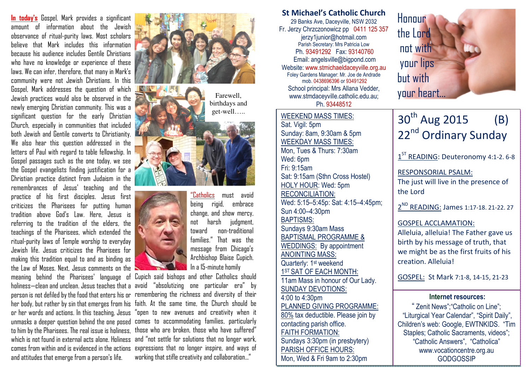In today's Gospel, Mark provides a significant amount of information about the Jewish observance of ritual-purity laws. Most scholars believe that Mark includes this information because his audience includes Gentile Christians who have no knowledge or experience of these laws. We can infer, therefore, that many in Mark's community were not Jewish Christians. In this Gospel, Mark addresses the question of which Jewish practices would also be observed in the newly emerging Christian community. This was a significant question for the early Christian Church, especially in communities that included both Jewish and Gentile converts to Christianity. We also hear this question addressed in the letters of Paul with regard to table fellowship. In Gospel passages such as the one today, we see the Gospel evangelists finding justification for a Christian practice distinct from Judaism in the remembrances of Jesus' teaching and the practice of his first disciples. Jesus first criticizes the Pharisees for putting human tradition above God's Law. Here, Jesus is referring to the tradition of the elders, the teachings of the Pharisees, which extended the ritual-purity laws of Temple worship to everyday Jewish life. Jesus criticizes the Pharisees for making this tradition equal to and as binding as the Law of Moses. Next, Jesus comments on the meaning behind the Pharisees' language of Cupich said bishops and other Catholics should and attitudes that emerge from a person's life.



birthdays and get-well…..





<u>"Catholics</u> must avoid being rigid, embrace change, and show mercy, not harsh judgment, toward non-traditional families." That was the message from Chicago's Archbishop Blaise Cupich. In a 15-minute homily

holiness—clean and unclean. Jesus teaches that a avoid "absolutizing one particular era" by person is not defiled by the food that enters his or remembering the richness and diversity of their her body, but rather by sin that emerges from his faith. At the same time, the Church should be or her words and actions. In this teaching, Jesus "open to new avenues and creativity when it unmasks a deeper question behind the one posed comes to accommodating families, particularly to him by the Pharisees. The real issue is holiness, those who are broken, those who have suffered" which is not found in external acts alone. Holiness and "not settle for solutions that no longer work, comes from within and is evidenced in the actions expressions that no longer inspire, and ways of working that stifle creativity and collaboration…"

St Michael's Catholic Church 29 Banks Ave, Daceyville, NSW 2032 Fr. Jerzy Chrzczonowicz pp 0411 125 357 jerzy1junior@hotmail.com Parish Secretary: Mrs Patricia Low Ph. 93491292 Fax: 93140760 Email: angelsville@bigpond.com Website: www.stmichaeldaceyville.org.au Foley Gardens Manager: Mr. Joe de Andrade mob. 0438696396 or 93491292 School principal: Mrs Allana Vedder, School principal: ivirs Allana Vedder, www.stmdaceyville.catholic.edu.au; your heart… sharewell,

Ph. 93448512

# WEEKEND MASS TIMES:Sat. Vigil: 5pm

 Sunday: 8am, 9:30am & 5pm WEEKDAY MASS TIMES: Mon, Tues & Thurs: 7:30am Wed: 6pm Fri: 9:15am Sat: 9:15am (Sthn Cross Hostel) HOLY HOUR: Wed: 5pm RECONCILIATION: Wed: 5:15–5:45p: Sat: 4:15–4:45pm; Sun 4:00–4:30pm BAPTISMS: Sundays 9:30am Mass BAPTISMAL PROGRAMME & WEDDINGS: By appointment ANOINTING MASS: Quarterly: 1<sup>st</sup> weekend 1<sup>ST</sup> SAT OF EACH MONTH: 11am Mass in honour of Our Lady. SUNDAY DEVOTIONS: 4:00 to 4:30pm PLANNED GIVING PROGRAMME: 80% tax deductible. Please join by contacting parish office. FAITH FORMATION: Sundays 3:30pm (in presbytery) PARISH OFFICE HOURS: Mon, Wed & Fri 9am to 2:30pm



# $30^{th}$  Aug 2015 (B) 22<sup>nd</sup> Ordinary Sunday

 $1<sup>ST</sup>$  READING: Deuteronomy 4:1-2. 6-8

RESPONSORIAL PSALM:

The just will live in the presence of the Lord

2ND READING: James 1:17-18. 21-22. 27

# GOSPEL ACCLAMATION:

Alleluia, alleluia! The Father gave us birth by his message of truth, that we might be as the first fruits of his creation. Alleluia!

GOSPEL: St Mark 7:1-8, 14-15, 21-23

#### Internet resources:

" Zenit News";"Catholic on Line"; "Liturgical Year Calendar", "Spirit Daily", Children's web: Google, EWTNKIDS. "Tim Staples; Catholic Sacraments, videos"; "Catholic Answers", "Catholica" www.vocationcentre.org.au **GODGOSSIP**